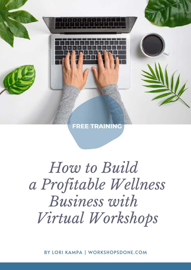

# *How to Build a Profitable Wellness Business with Virtual Workshops*

BY LORI KAMPA | WORKSHOPSDONE.COM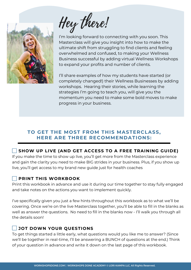

Hey there!

I'm looking forward to connecting with you soon. This Masterclass will give you insight into how to make the ultimate shift from struggling to find clients and feeling overwhelmed and confused, to making your Wellness Business successful by adding virtual Wellness Workshops to expand your profits and number of clients.

I'll share examples of how my students have started (or completely changed!) their Wellness Businesses by adding workshops. Hearing their stories, while learning the strategies I'm going to teach you, will give you the momentum you need to make some bold moves to make progress in your business.

### **TO GET THE MOST FROM THIS MASTERCLASS, HERE ARE THREE RECOMMENDATIONS:**

### **SHOW UP LIVE (AND GET ACCESS TO A FREE TRAINING GUIDE)**

If you make the time to show up live, you'll get more from the Masterclass experience and gain the clarity you need to make BIG strides in your business. Plus, if you show up live, you'll get access to my brand new guide just for health coaches

### **PRINT THIS WORKBOOK**

Print this workbook in advance and use it during our time together to stay fully engaged and take notes on the actions you want to implement quickly.

I've specifically given you just a few hints throughout this workbook as to what we'll be covering. Once we're on the live Masterclass together, you'll be able to fill in the blanks as well as answer the questions. No need to fill in the blanks now - I'll walk you through all the details soon!

### **JOT DOWN YOUR QUESTIONS**

To get things started a little early, what questions would you like me to answer? (Since we'll be together in real-time, I'll be answering a BUNCH of questions at the end.) Think of your question in advance and write it down on the last page of this workbook.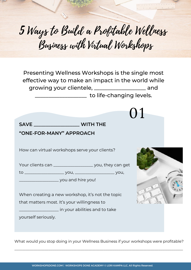# Ways to Build a Profitable Wellness Business with Virtual Workshops 5

Presenting Wellness Workshops is the single most effective way to make an impact in the world while growing your clientele, \_\_\_\_\_\_\_\_\_\_\_\_\_\_\_\_\_\_\_ and \_\_\_\_\_\_\_\_\_\_\_\_\_\_\_\_\_\_\_ to life-changing levels.

**SAVE \_\_\_\_\_\_\_\_\_\_\_\_\_\_\_\_\_\_\_ WITH THE**

### **"ONE-FOR-MANY" APPROACH**

How can virtual workshops serve your clients?

Your clients can \_\_\_\_\_\_\_\_\_\_\_\_\_\_\_\_\_\_\_\_\_\_ you, they can get

to \_\_\_\_\_\_\_\_\_\_\_\_\_\_\_\_\_\_\_ you, \_\_\_\_\_\_\_\_\_\_\_\_\_\_\_\_\_\_\_ you,

 $\frac{1}{2}$  you and hire you!

When creating a new workshop, it's not the topic that matters most. It's your willingness to

\_\_\_\_\_\_\_\_\_\_\_\_\_\_\_\_\_\_\_ in your abilities and to take

yourself seriously.



01

What would you stop doing in your Wellness Business if your workshops were profitable?

\_\_\_\_\_\_\_\_\_\_\_\_\_\_\_\_\_\_\_\_\_\_\_\_\_\_\_\_\_\_\_\_\_\_\_\_\_\_\_\_\_\_\_\_\_\_\_\_\_\_\_\_\_\_\_\_\_\_\_\_\_\_\_\_\_\_\_\_\_\_\_\_\_\_\_\_\_\_\_\_\_\_\_\_\_\_\_\_\_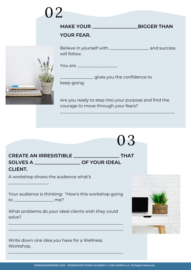|  | MAKE YOUR _______<br><b>YOUR FEAR.</b>                 | <b>BIGGER THAN</b> |
|--|--------------------------------------------------------|--------------------|
|  | Believe in yourself with _____________<br>will follow. | and success        |
|  | You are                                                |                    |

gives you the confidence to

keep going.

02

<u>mmmmmmm</u> a a bha bha bha a

> Are you ready to step into your purpose and find the courage to move through your fears?

\_\_\_\_\_\_\_\_\_\_\_\_\_\_\_\_\_\_\_\_\_\_\_\_\_\_\_\_\_\_\_\_\_\_\_\_\_\_\_\_\_\_\_\_\_\_\_\_\_\_\_\_\_\_\_

| 03                                                                                                                                      |  |
|-----------------------------------------------------------------------------------------------------------------------------------------|--|
| <b>THAT</b><br>CREATE AN IRRESISTIBLE <b>CREATE AND IRRESISTIBLE</b><br>SOLVES A ______________________ OF YOUR IDEAL<br><b>CLIENT.</b> |  |
| A workshop shows the audience what's                                                                                                    |  |
| Your audience is thinking: "How's this workshop going<br>to ____________________ me?                                                    |  |
| What problems do your ideal clients wish they could<br>solve?                                                                           |  |
| Write down one idea you have for a Wellness<br>Workshop.                                                                                |  |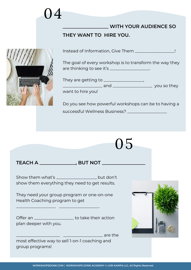# 04

## **\_\_\_\_\_\_\_\_\_\_\_\_\_\_\_\_\_\_\_ WITH YOUR AUDIENCE SO**

### **THEY WANT TO HIRE YOU.**



Instead of Information, Give Them \_\_\_\_\_\_\_\_\_\_\_\_\_\_\_\_\_\_\_!

The goal of every workshop is to transform the way they are thinking to see it's \_\_\_\_\_\_\_\_\_\_\_\_\_\_\_\_\_\_\_.



Do you see how powerful workshops can be to having a successful Wellness Business? \_\_\_\_\_\_\_\_\_\_\_\_\_\_\_\_\_\_\_

05

# **TEACH A \_\_\_\_\_\_\_\_\_\_\_\_\_\_\_, BUT NOT \_\_\_\_\_\_\_\_\_\_\_\_\_\_\_\_\_\_**

Show them what's \_\_\_\_\_\_\_\_\_\_\_\_\_\_\_\_\_, but don't show them everything they need to get results.

They need your group program or one-on-one Health Coaching program to get

\_\_\_\_\_\_\_\_\_\_\_\_\_\_\_\_\_\_\_ \_\_\_\_\_\_\_\_\_\_\_\_\_\_\_\_\_\_\_.

Offer an \_\_\_\_\_\_\_\_\_\_\_\_\_\_\_\_\_\_\_\_\_ to take their action plan deeper with you.



 $\Box$  are the most effective way to sell 1-on-1 coaching and group programs!